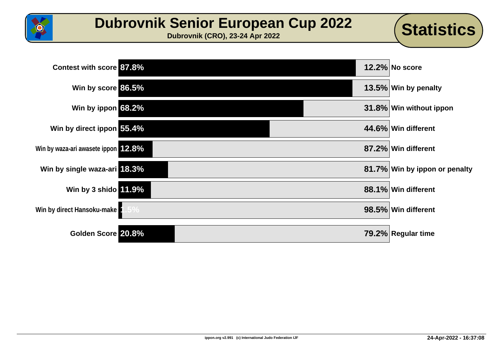